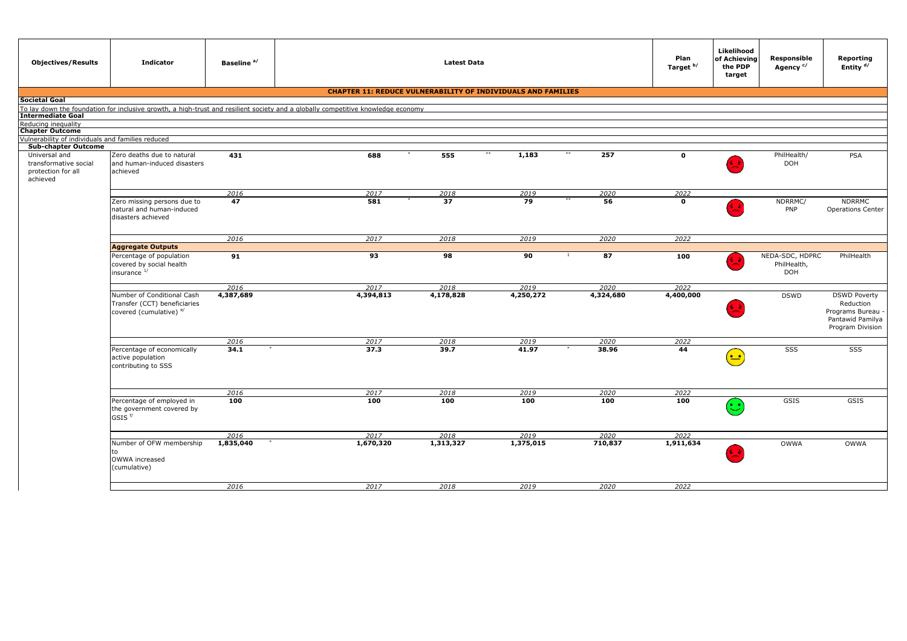| <b>Objectives/Results</b>                                                | <b>Indicator</b>                                                                                 | Baseline <sup>a/</sup> |                                                                                                                                  | <b>Latest Data</b> |                                                                     |              | Plan<br>Target <sup>b/</sup> | Likelihood<br>of Achieving<br>the PDP<br>target | Responsible<br>Agency <sup>c/</sup>   | Reporting<br>Entity <sup>d/</sup>                                                           |
|--------------------------------------------------------------------------|--------------------------------------------------------------------------------------------------|------------------------|----------------------------------------------------------------------------------------------------------------------------------|--------------------|---------------------------------------------------------------------|--------------|------------------------------|-------------------------------------------------|---------------------------------------|---------------------------------------------------------------------------------------------|
|                                                                          |                                                                                                  |                        |                                                                                                                                  |                    | <b>CHAPTER 11: REDUCE VULNERABILITY OF INDIVIDUALS AND FAMILIES</b> |              |                              |                                                 |                                       |                                                                                             |
| Societal Goal                                                            |                                                                                                  |                        |                                                                                                                                  |                    |                                                                     |              |                              |                                                 |                                       |                                                                                             |
|                                                                          |                                                                                                  |                        | To lay down the foundation for inclusive growth, a high-trust and resilient society and a globally competitive knowledge economy |                    |                                                                     |              |                              |                                                 |                                       |                                                                                             |
| Intermediate Goal<br>Reducing inequality                                 |                                                                                                  |                        |                                                                                                                                  |                    |                                                                     |              |                              |                                                 |                                       |                                                                                             |
| <b>Chapter Outcome</b>                                                   |                                                                                                  |                        |                                                                                                                                  |                    |                                                                     |              |                              |                                                 |                                       |                                                                                             |
| Vulnerability of individuals and families reduced                        |                                                                                                  |                        |                                                                                                                                  |                    |                                                                     |              |                              |                                                 |                                       |                                                                                             |
| <b>Sub-chapter Outcome</b>                                               |                                                                                                  |                        |                                                                                                                                  |                    | $***$                                                               | 257<br>$***$ | $\mathbf{o}$                 |                                                 |                                       |                                                                                             |
| Universal and<br>transformative social<br>protection for all<br>achieved | Zero deaths due to natural<br>and human-induced disasters<br>achieved                            | 431                    | 688                                                                                                                              | 555                | 1,183                                                               |              |                              | $\left(\frac{1}{2}\right)^{2}$                  | PhilHealth/<br><b>DOH</b>             | PSA                                                                                         |
|                                                                          |                                                                                                  | 2016                   | 2017                                                                                                                             | 2018               | 2019                                                                | 2020         | 2022                         |                                                 |                                       |                                                                                             |
|                                                                          | Zero missing persons due to<br>natural and human-induced<br>disasters achieved                   | 47                     | 581                                                                                                                              | 37                 | 79                                                                  | 56           | $\mathbf{o}$                 | $\frac{1}{2}$                                   | NDRRMC/<br>PNP                        | <b>NDRRMC</b><br><b>Operations Center</b>                                                   |
|                                                                          |                                                                                                  | 2016                   | 2017                                                                                                                             | 2018               | 2019                                                                | 2020         | 2022                         |                                                 |                                       |                                                                                             |
|                                                                          | <b>Aggregate Outputs</b>                                                                         |                        |                                                                                                                                  |                    |                                                                     |              |                              |                                                 |                                       |                                                                                             |
|                                                                          | Percentage of population<br>covered by social health<br>insurance 1/                             | 91                     | 93                                                                                                                               | 98                 | 90                                                                  | 87<br>1      | 100                          |                                                 | NEDA-SDC, HDPRC<br>PhilHealth,<br>DOH | PhilHealth                                                                                  |
|                                                                          |                                                                                                  | 2016                   | 2017                                                                                                                             | 2018               | 2019                                                                | 2020         | 2022                         |                                                 |                                       |                                                                                             |
|                                                                          | Number of Conditional Cash<br>Transfer (CCT) beneficiaries<br>covered (cumulative) <sup>e/</sup> | 4,387,689              | 4,394,813                                                                                                                        | 4,178,828          | 4,250,272                                                           | 4,324,680    | 4,400,000                    | $\overline{\mathbf{r}}$                         | <b>DSWD</b>                           | <b>DSWD Poverty</b><br>Reduction<br>Programs Bureau<br>Pantawid Pamilya<br>Program Division |
|                                                                          |                                                                                                  | 2016                   | 2017                                                                                                                             | 2018               | 2019                                                                | 2020         | 2022                         |                                                 |                                       |                                                                                             |
|                                                                          | Percentage of economically<br>active population<br>contributing to SSS                           | 34.1                   | 37.3                                                                                                                             | 39.7               | 41.97                                                               | 38.96        | 44                           | $(\underline{\bullet\bullet})$                  | SSS                                   | SSS                                                                                         |
|                                                                          |                                                                                                  | 2016                   | 2017                                                                                                                             | 2018               | 2019                                                                | 2020         | 2022                         |                                                 |                                       |                                                                                             |
|                                                                          | Percentage of employed in<br>the government covered by<br>$GSIS$ <sup>f/</sup>                   | 100                    | 100                                                                                                                              | 100                | 100                                                                 | 100          | 100                          | $(\ddot{\mathbb{C}})$                           | GSIS                                  | GSIS                                                                                        |
|                                                                          |                                                                                                  | 2017<br>2018<br>2016   |                                                                                                                                  | 2019<br>2020       |                                                                     | 2022         |                              |                                                 |                                       |                                                                                             |
|                                                                          | Number of OFW membership<br>to<br>OWWA increased<br>(cumulative)                                 | 1,835,040              | 1,670,320                                                                                                                        | 1,313,327          | 1,375,015                                                           | 710,837      | 1,911,634                    | $\frac{1}{2}$                                   | <b>OWWA</b>                           | OWWA                                                                                        |
|                                                                          |                                                                                                  | 2016                   | 2017                                                                                                                             | 2018               | 2019                                                                | 2020         | 2022                         |                                                 |                                       |                                                                                             |
|                                                                          |                                                                                                  |                        |                                                                                                                                  |                    |                                                                     |              |                              |                                                 |                                       |                                                                                             |